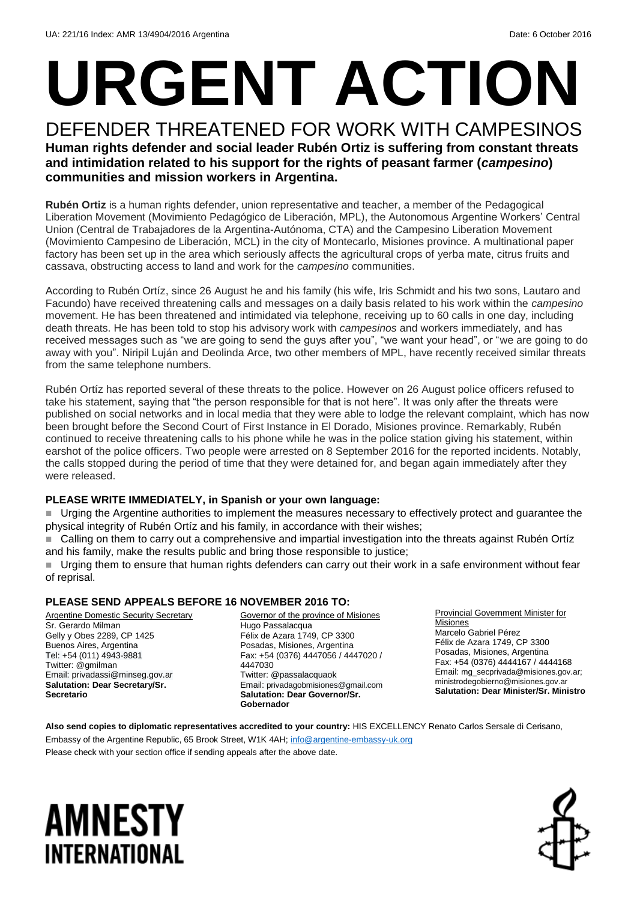# **URGENT ACTION**

#### DEFENDER THREATENED FOR WORK WITH CAMPESINOS **Human rights defender and social leader Rubén Ortiz is suffering from constant threats and intimidation related to his support for the rights of peasant farmer (***campesino***) communities and mission workers in Argentina.**

**Rubén Ortiz** is a human rights defender, union representative and teacher, a member of the Pedagogical Liberation Movement (Movimiento Pedagógico de Liberación, MPL), the Autonomous Argentine Workers' Central Union (Central de Trabajadores de la Argentina-Autónoma, CTA) and the Campesino Liberation Movement (Movimiento Campesino de Liberación, MCL) in the city of Montecarlo, Misiones province. A multinational paper factory has been set up in the area which seriously affects the agricultural crops of yerba mate, citrus fruits and cassava, obstructing access to land and work for the *campesino* communities.

According to Rubén Ortíz, since 26 August he and his family (his wife, Iris Schmidt and his two sons, Lautaro and Facundo) have received threatening calls and messages on a daily basis related to his work within the *campesino* movement. He has been threatened and intimidated via telephone, receiving up to 60 calls in one day, including death threats. He has been told to stop his advisory work with *campesinos* and workers immediately, and has received messages such as "we are going to send the guys after you", "we want your head", or "we are going to do away with you". Niripil Luján and Deolinda Arce, two other members of MPL, have recently received similar threats from the same telephone numbers.

Rubén Ortíz has reported several of these threats to the police. However on 26 August police officers refused to take his statement, saying that "the person responsible for that is not here". It was only after the threats were published on social networks and in local media that they were able to lodge the relevant complaint, which has now been brought before the Second Court of First Instance in El Dorado, Misiones province. Remarkably, Rubén continued to receive threatening calls to his phone while he was in the police station giving his statement, within earshot of the police officers. Two people were arrested on 8 September 2016 for the reported incidents. Notably, the calls stopped during the period of time that they were detained for, and began again immediately after they were released.

#### **PLEASE WRITE IMMEDIATELY, in Spanish or your own language:**

 Urging the Argentine authorities to implement the measures necessary to effectively protect and guarantee the physical integrity of Rubén Ortíz and his family, in accordance with their wishes;

 Calling on them to carry out a comprehensive and impartial investigation into the threats against Rubén Ortíz and his family, make the results public and bring those responsible to justice;

 Urging them to ensure that human rights defenders can carry out their work in a safe environment without fear of reprisal.

#### **PLEASE SEND APPEALS BEFORE 16 NOVEMBER 2016 TO:**

Argentine Domestic Security Secretary Sr. Gerardo Milman Gelly y Obes 2289, CP 1425 Buenos Aires, Argentina Tel: +54 (011) 4943-9881 Twitter: @gmilman Email: privadassi@minseg.gov.ar **Salutation: Dear Secretary/Sr. Secretario**

Governor of the province of Misiones Hugo Passalacqua Félix de Azara 1749, CP 3300 Posadas, Misiones, Argentina Fax: +54 (0376) 4447056 / 4447020 / 4447030 Twitter: @passalacquaok Email: privadagobmisiones@gmail.com **Salutation: Dear Governor/Sr. Gobernador**

Provincial Government Minister for **Misiones** Marcelo Gabriel Pérez Félix de Azara 1749, CP 3300 Posadas, Misiones, Argentina Fax: +54 (0376) 4444167 / 4444168 Email: mg\_secprivada@misiones.gov.ar; [ministrodegobierno@misiones.gov.ar](mailto:ministrodegobierno@misiones.gov.ar) **Salutation: Dear Minister/Sr. Ministro**

**Also send copies to diplomatic representatives accredited to your country:** HIS EXCELLENCY Renato Carlos Sersale di Cerisano, Embassy of the Argentine Republic, 65 Brook Street, W1K 4AH[; info@argentine-embassy-uk.org](mailto:info@argentine-embassy-uk.org) Please check with your section office if sending appeals after the above date.